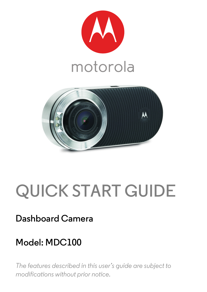



# **QUICK START GUIDE**

## **Dashboard Camera**

## **Model: MDC100**

*The features described in this user's guide are subject to modifications without prior notice.*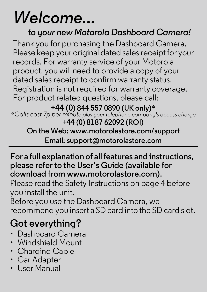# *Welcome...*

### *to your new Motorola Dashboard Camera!*

Thank you for purchasing the Dashboard Camera. Please keep your original dated sales receipt for your records. For warranty service of your Motorola product, you will need to provide a copy of your dated sales receipt to confirm warranty status. Registration is not required for warranty coverage. For product related questions, please call:

**+44 (0) 844 557 0890 (UK only)\*** *\*Calls cost 7p per minute plus your telephone company's access charge* **+44 (0) 8187 62092 (ROI) On the Web: www.motorolastore.com/support Email: support@motorolastore.com**

#### **For a full explanation of all features and instructions, please refer to the User's Guide (available for download from www.motorolastore.com).**

Please read the Safety Instructions on page 4 before you install the unit.

Before you use the Dashboard Camera, we recommend you insert a SD card into the SD card slot.

## **Got everything?**

- Dashboard Camera
- Windshield Mount
- Charging Cable
- Car Adapter
- Hear Manual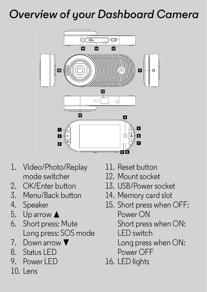## *Overview of your Dashboard Camera*



- 1. Video/Photo/Replay mode switcher
- 2. OK/Enter button
- 3. Menu/Back button
- 4. Speaker
- 5. Up arrow  $\triangle$
- 6. Short press: Mute Long press: SOS mode
- 7. Down arrow  $\blacktriangledown$
- 8. Status LED
- 9. Power LED
- 10. Lens
- 11. Reset button
- 12. Mount socket
- 13. USB/Power socket
- 14. Memory card slot
- 15. Short press when OFF: Power ON Short press when ON: LED switch Long press when ON:
	- Power OFF
- 16. LED lights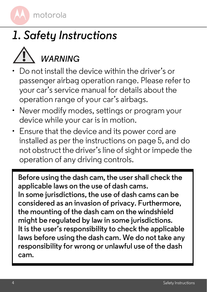## *1. Safety Instructions*



- Do not install the device within the driver's or passenger airbag operation range. Please refer to your car's service manual for details about the operation range of your car's airbags.
- Never modify modes, settings or program your device while your car is in motion.
- Ensure that the device and its power cord are installed as per the instructions on page 5, and do not obstruct the driver's line of sight or impede the operation of any driving controls.

**Before using the dash cam, the user shall check the applicable laws on the use of dash cams. In some jurisdictions, the use of dash cams can be considered as an invasion of privacy. Furthermore, the mounting of the dash cam on the windshield might be regulated by law in some jurisdictions. It is the user's responsibility to check the applicable laws before using the dash cam. We do not take any responsibility for wrong or unlawful use of the dash cam.**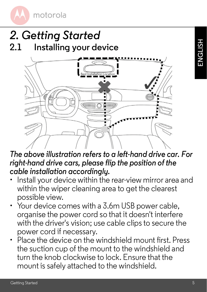

## *2. Getting Started* **2.1 Installing your device**



*The above illustration refers to a left-hand drive car. For right-hand drive cars, please flip the position of the cable installation accordingly.* 

- Install your device within the rear-view mirror area and within the wiper cleaning area to get the clearest possible view.
- Your device comes with a 3.6m USB power cable. organise the power cord so that it doesn't interfere with the driver's vision; use cable clips to secure the power cord if necessary.
- Place the device on the windshield mount first. Press the suction cup of the mount to the windshield and turn the knob clockwise to lock. Ensure that the mount is safely attached to the windshield.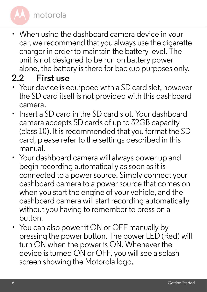• When using the dashboard camera device in your car, we recommend that you always use the cigarette charger in order to maintain the battery level. The unit is not designed to be run on battery power alone, the battery is there for backup purposes only.

#### **2.2 First use**

- Your device is equipped with a SD card slot, however the SD card itself is not provided with this dashboard camera.
- Insert a SD card in the SD card slot. Your dashboard camera accepts SD cards of up to 32GB capacity (class 10). It is recommended that you format the SD card, please refer to the settings described in this manual.
- Your dashboard camera will always power up and begin recording automatically as soon as it is connected to a power source. Simply connect your dashboard camera to a power source that comes on when you start the engine of your vehicle, and the dashboard camera will start recording automatically without you having to remember to press on a button.
- You can also power it ON or OFF manually by pressing the power button. The power LED (Red) will turn ON when the power is ON. Whenever the device is turned ON or OFF, you will see a splash screen showing the Motorola logo.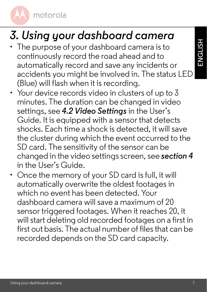## *3. Using your dashboard camera*

- The purpose of your dashboard camera is to continuously record the road ahead and to automatically record and save any incidents or accidents you might be involved in. The status LED (Blue) will flash when it is recording.
- Your device records video in clusters of up to 3 minutes. The duration can be changed in video settings, see *4.2 Video Settings* in the User's Guide. It is equipped with a sensor that detects shocks. Each time a shock is detected, it will save the cluster during which the event occurred to the SD card. The sensitivity of the sensor can be changed in the video settings screen, see *section 4* in the User's Guide.
- Once the memory of your SD card is full, it will automatically overwrite the oldest footages in which no event has been detected. Your dashboard camera will save a maximum of 20 sensor triggered footages. When it reaches 20, it will start deleting old recorded footages on a first in first out basis. The actual number of files that can be recorded depends on the SD card capacity.

**ENGLISH**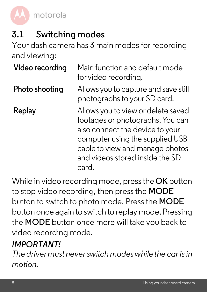## **3.1 Switching modes**

Your dash camera has 3 main modes for recording and viewing:

| Video recording | Main function and default mode<br>for video recording.                                                                                                                                                                      |
|-----------------|-----------------------------------------------------------------------------------------------------------------------------------------------------------------------------------------------------------------------------|
| Photo shooting  | Allows you to capture and save still<br>photographs to your SD card.                                                                                                                                                        |
| Replay          | Allows you to view or delete saved<br>footages or photographs. You can<br>also connect the device to your<br>computer using the supplied USB<br>cable to view and manage photos<br>and videos stored inside the SD<br>card. |

While in video recording mode, press the **OK** button to stop video recording, then press the **MODE** button to switch to photo mode. Press the **MODE** button once again to switch to replay mode. Pressing the **MODE** button once more will take you back to video recording mode.

#### *IMPORTANT!*

*The driver must never switch modes while the car is in motion.*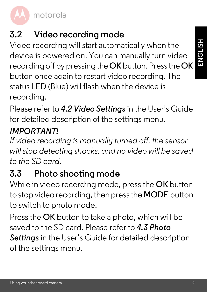## **3.2 Video recording mode**

Video recording will start automatically when the device is powered on. You can manually turn video recording off by pressing the **OK** button. Press the **OK**  button once again to restart video recording. The status LED (Blue) will flash when the device is recording.

Please refer to *4.2 Video Settings* in the User's Guide for detailed description of the settings menu.

## *IMPORTANT!*

*If video recording is manually turned off, the sensor will stop detecting shocks, and no video will be saved to the SD card.*

## **3.3 Photo shooting mode**

While in video recording mode, press the **OK** button to stop video recording, then press the **MODE** button to switch to photo mode.

Press the **OK** button to take a photo, which will be saved to the SD card. Please refer to *4.3 Photo Settings* in the User's Guide for detailed description of the settings menu.